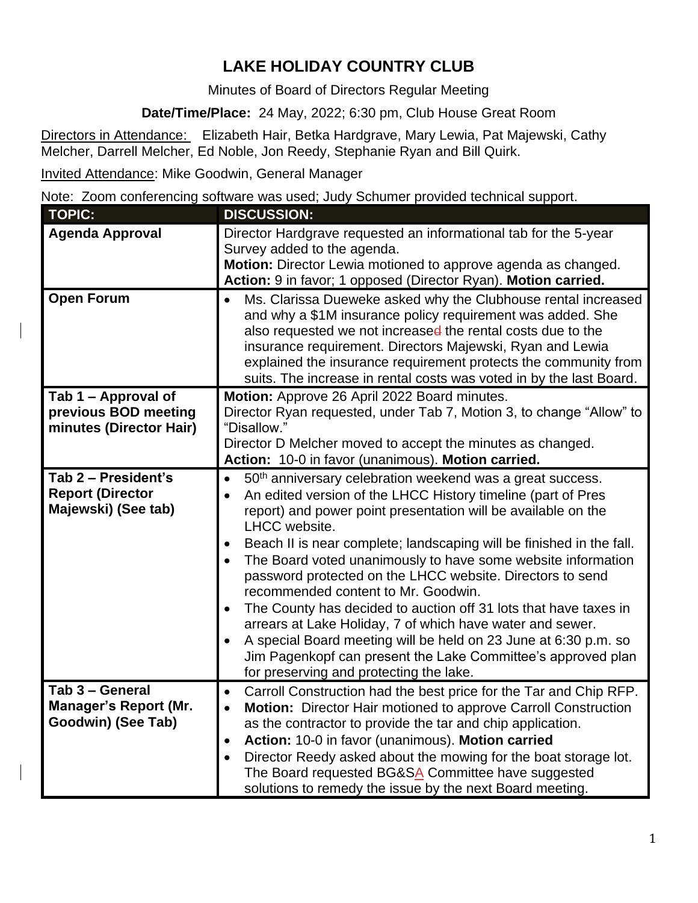## **LAKE HOLIDAY COUNTRY CLUB**

Minutes of Board of Directors Regular Meeting

**Date/Time/Place:** 24 May, 2022; 6:30 pm, Club House Great Room

Directors in Attendance: Elizabeth Hair, Betka Hardgrave, Mary Lewia, Pat Majewski, Cathy Melcher, Darrell Melcher, Ed Noble, Jon Reedy, Stephanie Ryan and Bill Quirk.

Invited Attendance: Mike Goodwin, General Manager

Note: Zoom conferencing software was used; Judy Schumer provided technical support.

| <b>TOPIC:</b>                                  | <b>DISCUSSION:</b>                                                                                                                   |
|------------------------------------------------|--------------------------------------------------------------------------------------------------------------------------------------|
| <b>Agenda Approval</b>                         | Director Hardgrave requested an informational tab for the 5-year                                                                     |
|                                                | Survey added to the agenda.                                                                                                          |
|                                                | Motion: Director Lewia motioned to approve agenda as changed.                                                                        |
|                                                | Action: 9 in favor; 1 opposed (Director Ryan). Motion carried.                                                                       |
| <b>Open Forum</b>                              | Ms. Clarissa Dueweke asked why the Clubhouse rental increased                                                                        |
|                                                | and why a \$1M insurance policy requirement was added. She                                                                           |
|                                                | also requested we not increased the rental costs due to the                                                                          |
|                                                | insurance requirement. Directors Majewski, Ryan and Lewia                                                                            |
|                                                | explained the insurance requirement protects the community from                                                                      |
|                                                | suits. The increase in rental costs was voted in by the last Board.                                                                  |
| Tab 1 – Approval of                            | Motion: Approve 26 April 2022 Board minutes.                                                                                         |
| previous BOD meeting                           | Director Ryan requested, under Tab 7, Motion 3, to change "Allow" to                                                                 |
| minutes (Director Hair)                        | "Disallow."                                                                                                                          |
|                                                | Director D Melcher moved to accept the minutes as changed.<br>Action: 10-0 in favor (unanimous). Motion carried.                     |
|                                                |                                                                                                                                      |
| Tab 2 - President's<br><b>Report (Director</b> | 50 <sup>th</sup> anniversary celebration weekend was a great success.<br>$\bullet$                                                   |
| Majewski) (See tab)                            | An edited version of the LHCC History timeline (part of Pres                                                                         |
|                                                | report) and power point presentation will be available on the<br>LHCC website.                                                       |
|                                                |                                                                                                                                      |
|                                                | Beach II is near complete; landscaping will be finished in the fall.<br>The Board voted unanimously to have some website information |
|                                                | password protected on the LHCC website. Directors to send                                                                            |
|                                                | recommended content to Mr. Goodwin.                                                                                                  |
|                                                | The County has decided to auction off 31 lots that have taxes in                                                                     |
|                                                | arrears at Lake Holiday, 7 of which have water and sewer.                                                                            |
|                                                | A special Board meeting will be held on 23 June at 6:30 p.m. so                                                                      |
|                                                | Jim Pagenkopf can present the Lake Committee's approved plan                                                                         |
|                                                | for preserving and protecting the lake.                                                                                              |
| Tab 3 - General                                | Carroll Construction had the best price for the Tar and Chip RFP.<br>$\bullet$                                                       |
| <b>Manager's Report (Mr.</b>                   | Motion: Director Hair motioned to approve Carroll Construction<br>$\bullet$                                                          |
| Goodwin) (See Tab)                             | as the contractor to provide the tar and chip application.                                                                           |
|                                                | Action: 10-0 in favor (unanimous). Motion carried<br>$\bullet$                                                                       |
|                                                | Director Reedy asked about the mowing for the boat storage lot.                                                                      |
|                                                | The Board requested BG&SA Committee have suggested                                                                                   |
|                                                | solutions to remedy the issue by the next Board meeting.                                                                             |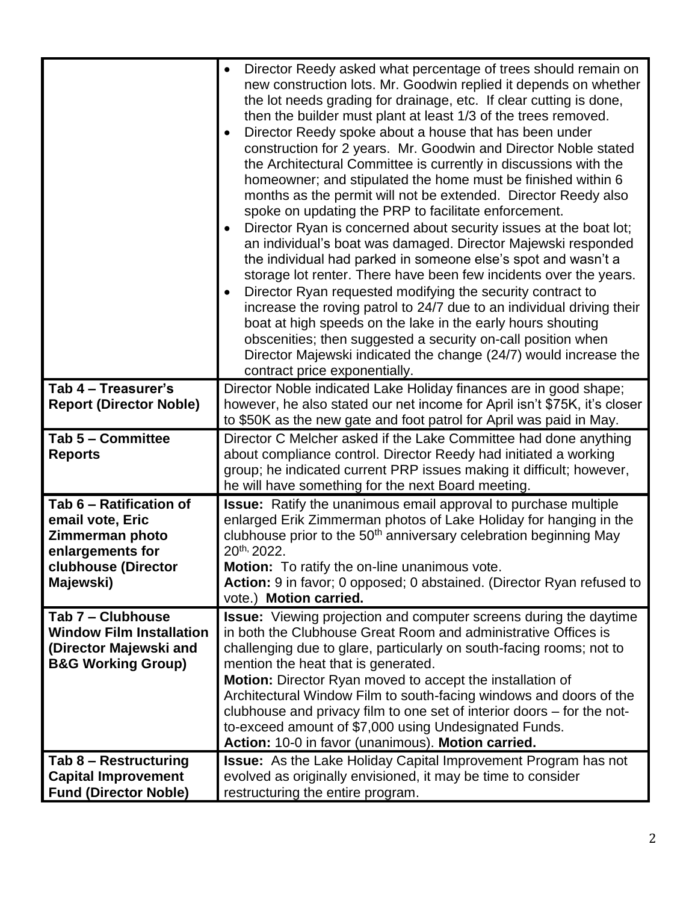|                                                                                                                        | Director Reedy asked what percentage of trees should remain on<br>new construction lots. Mr. Goodwin replied it depends on whether<br>the lot needs grading for drainage, etc. If clear cutting is done,<br>then the builder must plant at least 1/3 of the trees removed.<br>Director Reedy spoke about a house that has been under<br>construction for 2 years. Mr. Goodwin and Director Noble stated<br>the Architectural Committee is currently in discussions with the<br>homeowner; and stipulated the home must be finished within 6<br>months as the permit will not be extended. Director Reedy also<br>spoke on updating the PRP to facilitate enforcement.<br>Director Ryan is concerned about security issues at the boat lot;<br>an individual's boat was damaged. Director Majewski responded<br>the individual had parked in someone else's spot and wasn't a<br>storage lot renter. There have been few incidents over the years.<br>Director Ryan requested modifying the security contract to<br>increase the roving patrol to 24/7 due to an individual driving their<br>boat at high speeds on the lake in the early hours shouting<br>obscenities; then suggested a security on-call position when<br>Director Majewski indicated the change (24/7) would increase the<br>contract price exponentially. |
|------------------------------------------------------------------------------------------------------------------------|------------------------------------------------------------------------------------------------------------------------------------------------------------------------------------------------------------------------------------------------------------------------------------------------------------------------------------------------------------------------------------------------------------------------------------------------------------------------------------------------------------------------------------------------------------------------------------------------------------------------------------------------------------------------------------------------------------------------------------------------------------------------------------------------------------------------------------------------------------------------------------------------------------------------------------------------------------------------------------------------------------------------------------------------------------------------------------------------------------------------------------------------------------------------------------------------------------------------------------------------------------------------------------------------------------------------------|
| Tab 4 - Treasurer's<br><b>Report (Director Noble)</b>                                                                  | Director Noble indicated Lake Holiday finances are in good shape;<br>however, he also stated our net income for April isn't \$75K, it's closer<br>to \$50K as the new gate and foot patrol for April was paid in May.                                                                                                                                                                                                                                                                                                                                                                                                                                                                                                                                                                                                                                                                                                                                                                                                                                                                                                                                                                                                                                                                                                        |
| Tab 5 - Committee<br><b>Reports</b>                                                                                    | Director C Melcher asked if the Lake Committee had done anything<br>about compliance control. Director Reedy had initiated a working<br>group; he indicated current PRP issues making it difficult; however,<br>he will have something for the next Board meeting.                                                                                                                                                                                                                                                                                                                                                                                                                                                                                                                                                                                                                                                                                                                                                                                                                                                                                                                                                                                                                                                           |
| Tab 6 - Ratification of<br>email vote, Eric<br>Zimmerman photo<br>enlargements for<br>clubhouse (Director<br>Majewski) | <b>Issue:</b> Ratify the unanimous email approval to purchase multiple<br>enlarged Erik Zimmerman photos of Lake Holiday for hanging in the<br>clubhouse prior to the 50 <sup>th</sup> anniversary celebration beginning May<br>$20^{th}$ , 2022.<br><b>Motion:</b> To ratify the on-line unanimous vote.<br>Action: 9 in favor; 0 opposed; 0 abstained. (Director Ryan refused to<br>vote.) Motion carried.                                                                                                                                                                                                                                                                                                                                                                                                                                                                                                                                                                                                                                                                                                                                                                                                                                                                                                                 |
| Tab 7 - Clubhouse<br><b>Window Film Installation</b><br>(Director Majewski and<br><b>B&amp;G Working Group)</b>        | <b>Issue:</b> Viewing projection and computer screens during the daytime<br>in both the Clubhouse Great Room and administrative Offices is<br>challenging due to glare, particularly on south-facing rooms; not to<br>mention the heat that is generated.<br>Motion: Director Ryan moved to accept the installation of<br>Architectural Window Film to south-facing windows and doors of the<br>clubhouse and privacy film to one set of interior doors – for the not-<br>to-exceed amount of \$7,000 using Undesignated Funds.<br>Action: 10-0 in favor (unanimous). Motion carried.                                                                                                                                                                                                                                                                                                                                                                                                                                                                                                                                                                                                                                                                                                                                        |
| Tab 8 - Restructuring<br><b>Capital Improvement</b><br><b>Fund (Director Noble)</b>                                    | <b>Issue:</b> As the Lake Holiday Capital Improvement Program has not<br>evolved as originally envisioned, it may be time to consider<br>restructuring the entire program.                                                                                                                                                                                                                                                                                                                                                                                                                                                                                                                                                                                                                                                                                                                                                                                                                                                                                                                                                                                                                                                                                                                                                   |